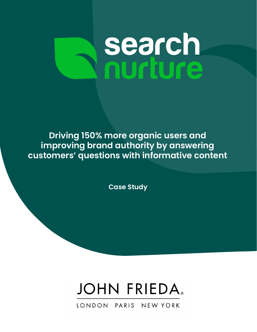# **search**<br>nurture

**Driving 150% more organic users and improving brand authority by answering customers' questions with informative content**

**Case Study**



LONDON PARIS NEW YORK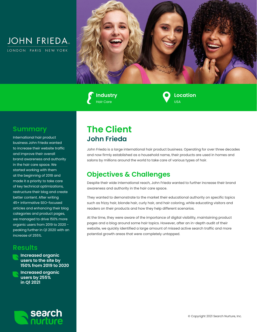



**Industry** Hair Care

**Location**  $\overline{181}$ 

### **Summary**

International hair product business John Frieda wanted to increase their website traffic and improve their overall brand awareness and authority in the hair care space. We started working with them at the beginning of 2018 and made it a priority to take care of key technical optimizations, restructure their blog and create better content. After writing 45+ informative SEO-focused articles and enhancing their blog categories and product pages, we managed to drive 150% more organic users from 2019 to 2020 peaking further in Q1 2020 with an increase of 255%.

#### **Results**



**Increased organic users by 255% in Q1 2021**



# **The Client John Frieda**

John Frieda is a large international hair product business. Operating for over three decades and now firmly established as a household name, their products are used in homes and salons by millions around the world to take care of various types of hair.

## **Objectives & Challenges**

Despite their wide international reach, John Frieda wanted to further increase their brand awareness and authority in the hair care space.

They wanted to demonstrate to the market their educational authority on specific topics such as frizzy hair, blonde hair, curly hair, and hair coloring, while educating visitors and readers on their products and how they help different scenarios.

At the time, they were aware of the importance of digital visibility, maintaining product pages and a blog around some hair topics. However, after an in-depth audit of their website, we quickly identified a large amount of missed active search traffic and more potential growth areas that were completely untapped.